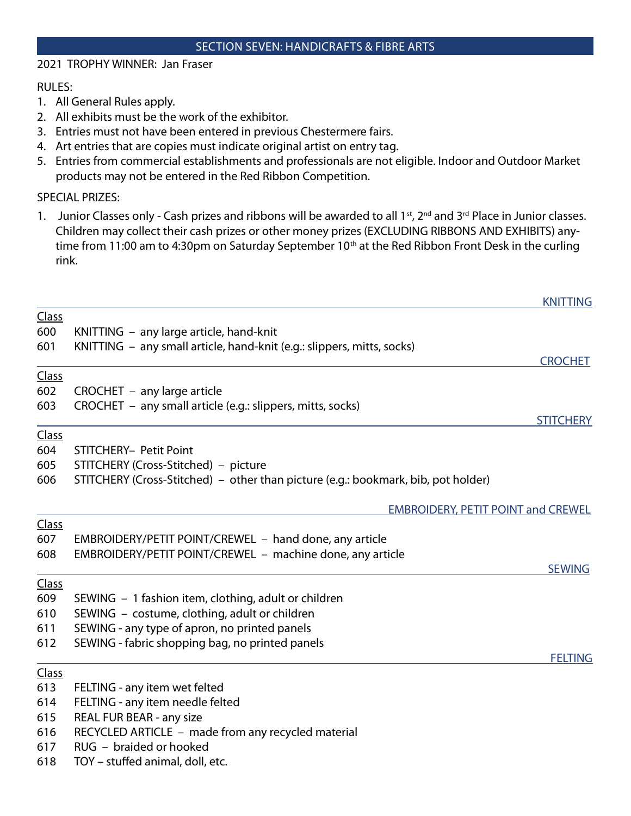#### SECTION SEVEN: HANDICRAFTS & FIBRE ARTS

## 2021 TROPHY WINNER: Jan Fraser

#### RULES:

- 1. All General Rules apply.
- 2. All exhibits must be the work of the exhibitor.
- 3. Entries must not have been entered in previous Chestermere fairs.
- 4. Art entries that are copies must indicate original artist on entry tag.
- 5. Entries from commercial establishments and professionals are not eligible. Indoor and Outdoor Market products may not be entered in the Red Ribbon Competition.

#### SPECIAL PRIZES:

1. Junior Classes only - Cash prizes and ribbons will be awarded to all 1<sup>st</sup>, 2<sup>nd</sup> and 3<sup>rd</sup> Place in Junior classes. Children may collect their cash prizes or other money prizes (EXCLUDING RIBBONS AND EXHIBITS) anytime from 11:00 am to 4:30pm on Saturday September 10<sup>th</sup> at the Red Ribbon Front Desk in the curling rink.

|              |                                                                                   | <b>KNITTING</b>  |
|--------------|-----------------------------------------------------------------------------------|------------------|
| Class        |                                                                                   |                  |
| 600          | KNITTING - any large article, hand-knit                                           |                  |
| 601          | KNITTING – any small article, hand-knit (e.g.: slippers, mitts, socks)            |                  |
|              |                                                                                   | <b>CROCHET</b>   |
| Class        |                                                                                   |                  |
| 602          | CROCHET - any large article                                                       |                  |
| 603          | CROCHET - any small article (e.g.: slippers, mitts, socks)                        |                  |
|              |                                                                                   | <b>STITCHERY</b> |
| <b>Class</b> |                                                                                   |                  |
| 604          | <b>STITCHERY- Petit Point</b>                                                     |                  |
| 605          | STITCHERY (Cross-Stitched) – picture                                              |                  |
| 606          | STITCHERY (Cross-Stitched) – other than picture (e.g.: bookmark, bib, pot holder) |                  |
|              | <b>EMBROIDERY, PETIT POINT and CREWEL</b>                                         |                  |
| Class        |                                                                                   |                  |
| 607          | EMBROIDERY/PETIT POINT/CREWEL - hand done, any article                            |                  |
| 608          | EMBROIDERY/PETIT POINT/CREWEL - machine done, any article                         |                  |
|              |                                                                                   | <b>SEWING</b>    |
| Class        |                                                                                   |                  |
| 609          | SEWING - 1 fashion item, clothing, adult or children                              |                  |
| 610          | SEWING - costume, clothing, adult or children                                     |                  |
| 611          | SEWING - any type of apron, no printed panels                                     |                  |
| 612          | SEWING - fabric shopping bag, no printed panels                                   |                  |
| Class        |                                                                                   | <b>FELTING</b>   |
| 613          | FELTING - any item wet felted                                                     |                  |
| 614          | FELTING - any item needle felted                                                  |                  |
| 615          | REAL FUR BEAR - any size                                                          |                  |
| 616          | RECYCLED ARTICLE - made from any recycled material                                |                  |
| 617          | RUG - braided or hooked                                                           |                  |
| 618          | TOY - stuffed animal, doll, etc.                                                  |                  |